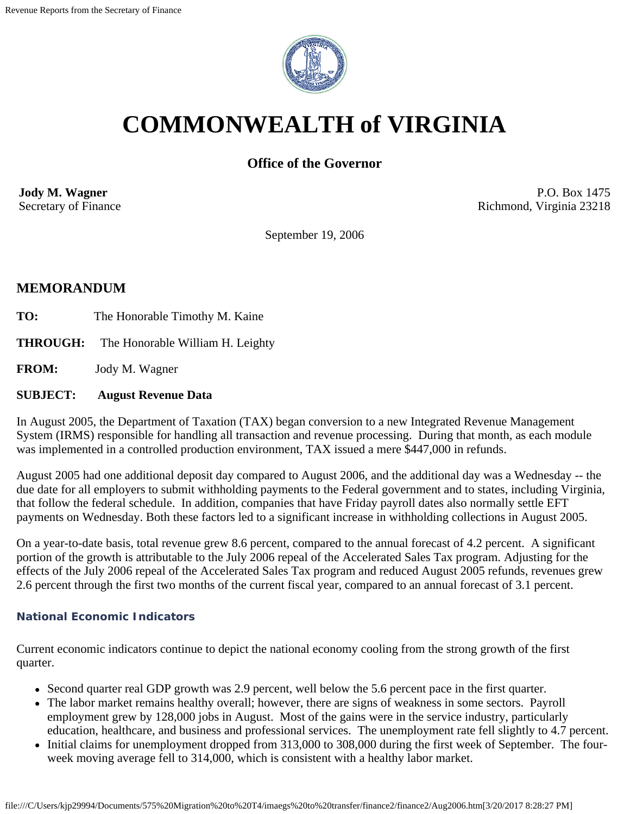

# **COMMONWEALTH of VIRGINIA**

## **Office of the Governor**

**Jody M. Wagner**  Secretary of Finance

P.O. Box 1475 Richmond, Virginia 23218

September 19, 2006

### **MEMORANDUM**

- TO: The Honorable Timothy M. Kaine
- **THROUGH:** The Honorable William H. Leighty

**FROM:** Jody M. Wagner

#### **SUBJECT: August Revenue Data**

In August 2005, the Department of Taxation (TAX) began conversion to a new Integrated Revenue Management System (IRMS) responsible for handling all transaction and revenue processing. During that month, as each module was implemented in a controlled production environment, TAX issued a mere \$447,000 in refunds.

August 2005 had one additional deposit day compared to August 2006, and the additional day was a Wednesday -- the due date for all employers to submit withholding payments to the Federal government and to states, including Virginia, that follow the federal schedule. In addition, companies that have Friday payroll dates also normally settle EFT payments on Wednesday. Both these factors led to a significant increase in withholding collections in August 2005.

On a year-to-date basis, total revenue grew 8.6 percent, compared to the annual forecast of 4.2 percent. A significant portion of the growth is attributable to the July 2006 repeal of the Accelerated Sales Tax program. Adjusting for the effects of the July 2006 repeal of the Accelerated Sales Tax program and reduced August 2005 refunds, revenues grew 2.6 percent through the first two months of the current fiscal year, compared to an annual forecast of 3.1 percent.

#### **National Economic Indicators**

Current economic indicators continue to depict the national economy cooling from the strong growth of the first quarter.

- Second quarter real GDP growth was 2.9 percent, well below the 5.6 percent pace in the first quarter.
- The labor market remains healthy overall; however, there are signs of weakness in some sectors. Payroll employment grew by 128,000 jobs in August. Most of the gains were in the service industry, particularly education, healthcare, and business and professional services. The unemployment rate fell slightly to 4.7 percent.
- Initial claims for unemployment dropped from 313,000 to 308,000 during the first week of September. The fourweek moving average fell to 314,000, which is consistent with a healthy labor market.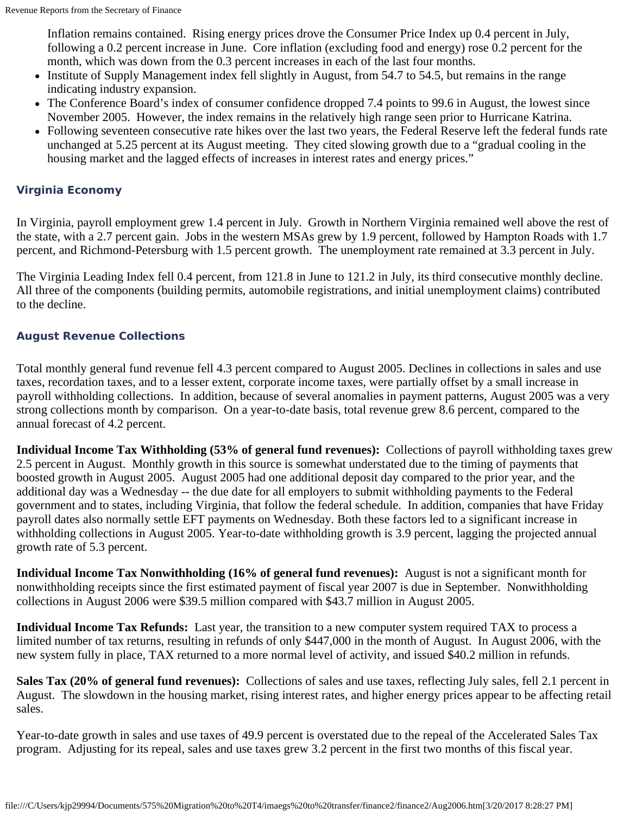Inflation remains contained. Rising energy prices drove the Consumer Price Index up 0.4 percent in July, following a 0.2 percent increase in June. Core inflation (excluding food and energy) rose 0.2 percent for the month, which was down from the 0.3 percent increases in each of the last four months.

- Institute of Supply Management index fell slightly in August, from 54.7 to 54.5, but remains in the range indicating industry expansion.
- The Conference Board's index of consumer confidence dropped 7.4 points to 99.6 in August, the lowest since November 2005. However, the index remains in the relatively high range seen prior to Hurricane Katrina.
- Following seventeen consecutive rate hikes over the last two years, the Federal Reserve left the federal funds rate unchanged at 5.25 percent at its August meeting. They cited slowing growth due to a "gradual cooling in the housing market and the lagged effects of increases in interest rates and energy prices."

#### **Virginia Economy**

In Virginia, payroll employment grew 1.4 percent in July. Growth in Northern Virginia remained well above the rest of the state, with a 2.7 percent gain. Jobs in the western MSAs grew by 1.9 percent, followed by Hampton Roads with 1.7 percent, and Richmond-Petersburg with 1.5 percent growth. The unemployment rate remained at 3.3 percent in July.

The Virginia Leading Index fell 0.4 percent, from 121.8 in June to 121.2 in July, its third consecutive monthly decline. All three of the components (building permits, automobile registrations, and initial unemployment claims) contributed to the decline.

#### **August Revenue Collections**

Total monthly general fund revenue fell 4.3 percent compared to August 2005. Declines in collections in sales and use taxes, recordation taxes, and to a lesser extent, corporate income taxes, were partially offset by a small increase in payroll withholding collections. In addition, because of several anomalies in payment patterns, August 2005 was a very strong collections month by comparison. On a year-to-date basis, total revenue grew 8.6 percent, compared to the annual forecast of 4.2 percent.

**Individual Income Tax Withholding (53% of general fund revenues):** Collections of payroll withholding taxes grew 2.5 percent in August. Monthly growth in this source is somewhat understated due to the timing of payments that boosted growth in August 2005. August 2005 had one additional deposit day compared to the prior year, and the additional day was a Wednesday -- the due date for all employers to submit withholding payments to the Federal government and to states, including Virginia, that follow the federal schedule. In addition, companies that have Friday payroll dates also normally settle EFT payments on Wednesday. Both these factors led to a significant increase in withholding collections in August 2005. Year-to-date withholding growth is 3.9 percent, lagging the projected annual growth rate of 5.3 percent.

**Individual Income Tax Nonwithholding (16% of general fund revenues):** August is not a significant month for nonwithholding receipts since the first estimated payment of fiscal year 2007 is due in September. Nonwithholding collections in August 2006 were \$39.5 million compared with \$43.7 million in August 2005.

**Individual Income Tax Refunds:** Last year, the transition to a new computer system required TAX to process a limited number of tax returns, resulting in refunds of only \$447,000 in the month of August. In August 2006, with the new system fully in place, TAX returned to a more normal level of activity, and issued \$40.2 million in refunds.

**Sales Tax (20% of general fund revenues):** Collections of sales and use taxes, reflecting July sales, fell 2.1 percent in August. The slowdown in the housing market, rising interest rates, and higher energy prices appear to be affecting retail sales.

Year-to-date growth in sales and use taxes of 49.9 percent is overstated due to the repeal of the Accelerated Sales Tax program. Adjusting for its repeal, sales and use taxes grew 3.2 percent in the first two months of this fiscal year.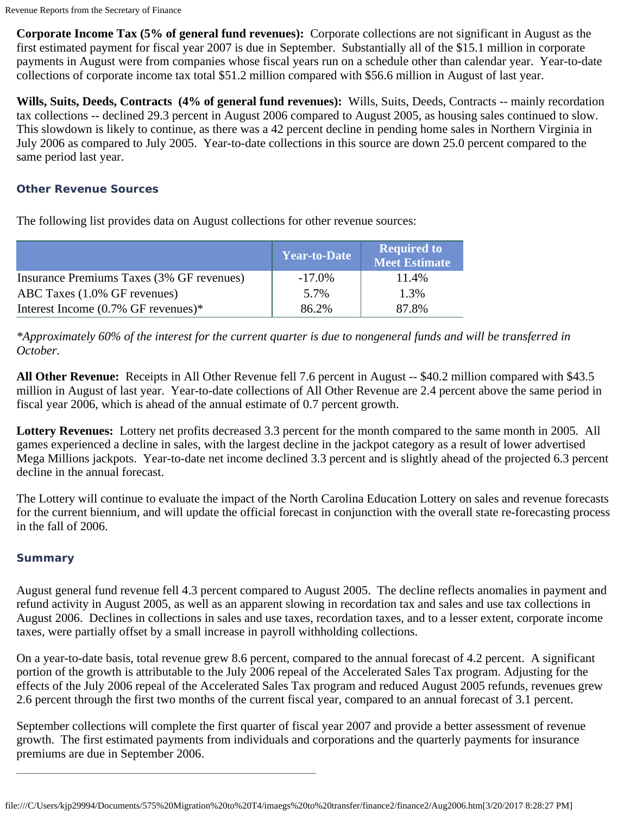**Corporate Income Tax (5% of general fund revenues):** Corporate collections are not significant in August as the first estimated payment for fiscal year 2007 is due in September. Substantially all of the \$15.1 million in corporate payments in August were from companies whose fiscal years run on a schedule other than calendar year. Year-to-date collections of corporate income tax total \$51.2 million compared with \$56.6 million in August of last year.

**Wills, Suits, Deeds, Contracts (4% of general fund revenues):** Wills, Suits, Deeds, Contracts -- mainly recordation tax collections -- declined 29.3 percent in August 2006 compared to August 2005, as housing sales continued to slow. This slowdown is likely to continue, as there was a 42 percent decline in pending home sales in Northern Virginia in July 2006 as compared to July 2005. Year-to-date collections in this source are down 25.0 percent compared to the same period last year.

#### **Other Revenue Sources**

The following list provides data on August collections for other revenue sources:

|                                           | <b>Year-to-Date</b> | <b>Required to</b><br><b>Meet Estimate</b> |
|-------------------------------------------|---------------------|--------------------------------------------|
| Insurance Premiums Taxes (3% GF revenues) | $-17.0\%$           | 11.4%                                      |
| ABC Taxes (1.0% GF revenues)              | 5.7%                | 1.3%                                       |
| Interest Income $(0.7\%$ GF revenues)*    | 86.2%               | 87.8%                                      |

*\*Approximately 60% of the interest for the current quarter is due to nongeneral funds and will be transferred in October.*

**All Other Revenue:** Receipts in All Other Revenue fell 7.6 percent in August -- \$40.2 million compared with \$43.5 million in August of last year. Year-to-date collections of All Other Revenue are 2.4 percent above the same period in fiscal year 2006, which is ahead of the annual estimate of 0.7 percent growth.

**Lottery Revenues:** Lottery net profits decreased 3.3 percent for the month compared to the same month in 2005. All games experienced a decline in sales, with the largest decline in the jackpot category as a result of lower advertised Mega Millions jackpots. Year-to-date net income declined 3.3 percent and is slightly ahead of the projected 6.3 percent decline in the annual forecast.

The Lottery will continue to evaluate the impact of the North Carolina Education Lottery on sales and revenue forecasts for the current biennium, and will update the official forecast in conjunction with the overall state re-forecasting process in the fall of 2006.

#### **Summary**

August general fund revenue fell 4.3 percent compared to August 2005. The decline reflects anomalies in payment and refund activity in August 2005, as well as an apparent slowing in recordation tax and sales and use tax collections in August 2006. Declines in collections in sales and use taxes, recordation taxes, and to a lesser extent, corporate income taxes, were partially offset by a small increase in payroll withholding collections.

On a year-to-date basis, total revenue grew 8.6 percent, compared to the annual forecast of 4.2 percent. A significant portion of the growth is attributable to the July 2006 repeal of the Accelerated Sales Tax program. Adjusting for the effects of the July 2006 repeal of the Accelerated Sales Tax program and reduced August 2005 refunds, revenues grew 2.6 percent through the first two months of the current fiscal year, compared to an annual forecast of 3.1 percent.

September collections will complete the first quarter of fiscal year 2007 and provide a better assessment of revenue growth. The first estimated payments from individuals and corporations and the quarterly payments for insurance premiums are due in September 2006.

file:///C/Users/kjp29994/Documents/575%20Migration%20to%20T4/imaegs%20to%20transfer/finance2/finance2/Aug2006.htm[3/20/2017 8:28:27 PM]